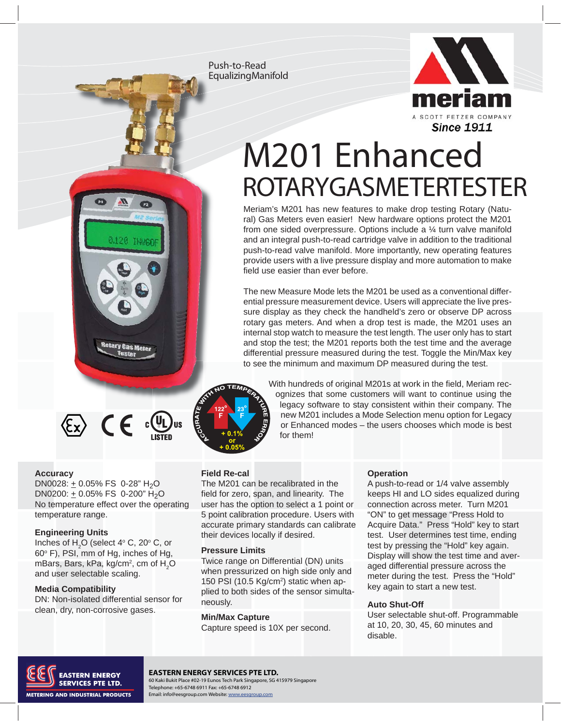Push-to-Read Equalizing Manifold



# M201 Enhanced **ROTARY GASMETERTESTER**

Meriam's M201 has new features to make drop testing Rotary (Natural) Gas Meters even easier! New hardware options protect the M201 from one sided overpressure. Options include a ¼ turn valve manifold and an integral push-to-read cartridge valve in addition to the traditional push-to-read valve manifold. More importantly, new operating features provide users with a live pressure display and more automation to make field use easier than ever before.

The new Measure Mode lets the M201 be used as a conventional differential pressure measurement device. Users will appreciate the live pressure display as they check the handheld's zero or observe DP across rotary gas meters. And when a drop test is made, the M201 uses an internal stop watch to measure the test length. The user only has to start and stop the test; the M201 reports both the test time and the average differential pressure measured during the test. Toggle the Min/Max key to see the minimum and maximum DP measured during the test.



With hundreds of original M201s at work in the field, Meriam recognizes that some customers will want to continue using the legacy software to stay consistent within their company. The new M201 includes a Mode Selection menu option for Legacy or Enhanced modes – the users chooses which mode is best for them!

#### **Field Re-cal**

The M201 can be recalibrated in the field for zero, span, and linearity. The user has the option to select a 1 point or 5 point calibration procedure. Users with accurate primary standards can calibrate their devices locally if desired.

#### **Pressure Limits**

Twice range on Differential (DN) units when pressurized on high side only and 150 PSI (10.5 Kg/cm<sup>2</sup>) static when applied to both sides of the sensor simultaneously.

#### **Min/Max Capture**

Capture speed is 10X per second.

#### **Operation**

A push-to-read or 1/4 valve assembly keeps HI and LO sides equalized during connection across meter. Turn M201 "ON" to get message "Press Hold to Acquire Data." Press "Hold" key to start test. User determines test time, ending test by pressing the "Hold" key again. Display will show the test time and averaged differential pressure across the meter during the test. Press the "Hold" key again to start a new test.

#### **Auto Shut-Off**

User selectable shut-off. Programmable at 10, 20, 30, 45, 60 minutes and disable.



#### **EASTERN ENERGY SERVICES PTE LTD.**

EXPLACES PTE LTD.<br>
Fax: 216.281.1100 Fax: 2021.1100 Fax: 216.281.1100 Fax: 216.281.1100 Fax: 2165-6748 69112<br>
Telephone: +65-6748 6911 Fax: +65-6748 6912 Telephone: +65-6748 6911 Fax: +65-6748 6912 Email: info@eesgroup.com Website: www.eesgro

temperature range.

**Accuracy**

#### **Engineering Units**

Inches of  $H_2O$  (select 4 $\degree$  C, 20 $\degree$  C, or 60° F), PSI, mm of Hg, inches of Hg, mBars, Bars, kPa, kg/cm $^2$ , cm of  $\rm H_2O$ and user selectable scaling.

DN0028:  $\pm$  0.05% FS 0-28" H<sub>2</sub>O DN0200:  $\pm$  0.05% FS 0-200" H<sub>2</sub>O No temperature effect over the operating

**Rotary Gas Meter Tester** 

 $\langle \xi_{\mathbf{x}} \rangle$   $\in$   $\bigoplus_{\mathbf{u} \in \mathsf{F}} \mathfrak{c}(\mathbf{u})_{\mathbf{u}\mathbf{s}}$ 

#### **Media Compatibility**

DN: Non-isolated differential sensor for clean, dry, non-corrosive gases.